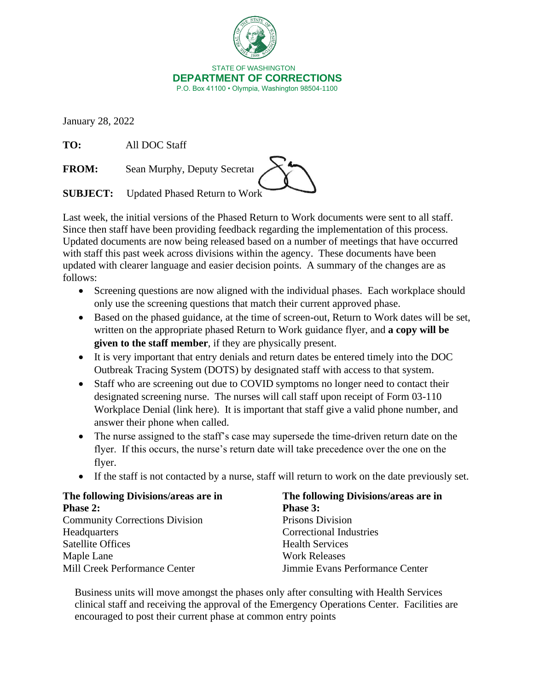

January 28, 2022

**TO:** All DOC Staff

**FROM:** Sean Murphy, Deputy Secretar

**SUBJECT:** Updated Phased Return to Work

Last week, the initial versions of the Phased Return to Work documents were sent to all staff. Since then staff have been providing feedback regarding the implementation of this process. Updated documents are now being released based on a number of meetings that have occurred with staff this past week across divisions within the agency. These documents have been updated with clearer language and easier decision points. A summary of the changes are as follows:

- Screening questions are now aligned with the individual phases. Each workplace should only use the screening questions that match their current approved phase.
- Based on the phased guidance, at the time of screen-out, Return to Work dates will be set, written on the appropriate phased Return to Work guidance flyer, and **a copy will be given to the staff member**, if they are physically present.
- It is very important that entry denials and return dates be entered timely into the DOC Outbreak Tracing System (DOTS) by designated staff with access to that system.
- Staff who are screening out due to COVID symptoms no longer need to contact their designated screening nurse. The nurses will call staff upon receipt of Form 03-110 Workplace Denial (link here). It is important that staff give a valid phone number, and answer their phone when called.
- The nurse assigned to the staff's case may supersede the time-driven return date on the flyer. If this occurs, the nurse's return date will take precedence over the one on the flyer.
- If the staff is not contacted by a nurse, staff will return to work on the date previously set.

| The following Divisions/areas are in  | The following Divisions/areas are in |  |  |
|---------------------------------------|--------------------------------------|--|--|
| <b>Phase 2:</b>                       | <b>Phase 3:</b>                      |  |  |
| <b>Community Corrections Division</b> | Prisons Division                     |  |  |
| Headquarters                          | <b>Correctional Industries</b>       |  |  |
| <b>Satellite Offices</b>              | <b>Health Services</b>               |  |  |
| Maple Lane                            | <b>Work Releases</b>                 |  |  |
| Mill Creek Performance Center         | Jimmie Evans Performance Center      |  |  |

Business units will move amongst the phases only after consulting with Health Services clinical staff and receiving the approval of the Emergency Operations Center. Facilities are encouraged to post their current phase at common entry points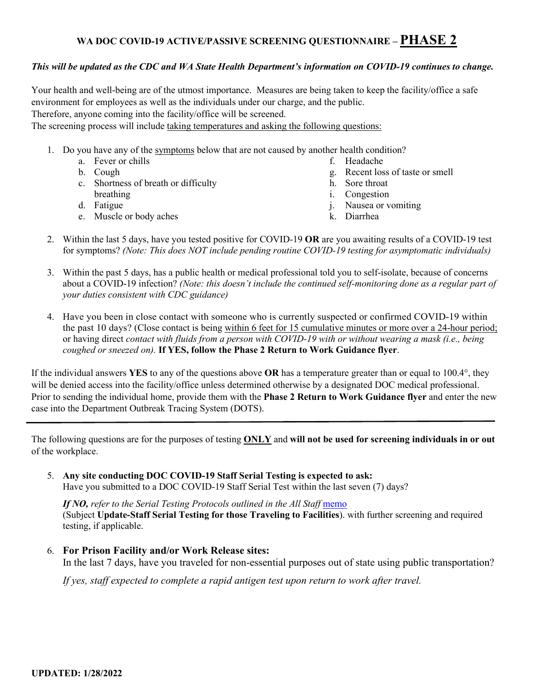## **WA DOC COVID-19 ACTIVE/PASSIVE SCREENING QUESTIONNAIRE – PHASE 2**

### *This will be updated as the CDC and WA State Health Department's information on COVID-19 continues to change.*

Your health and well-being are of the utmost importance. Measures are being taken to keep the facility/office a safe environment for employees as well as the individuals under our charge, and the public. Therefore, anyone coming into the facility/office will be screened.

The screening process will include taking temperatures and asking the following questions:

- 1. Do you have any of th[e symptoms](https://www.cdc.gov/coronavirus/2019-ncov/symptoms-testing/symptoms.html) below that are not caused by another health condition?
	- a. Fever or chills b. Cough c. Shortness of breath or difficulty breathing d. Fatigue e. Muscle or body aches f. Headache g. Recent loss of taste or smell h. Sore throat i. Congestion j. Nausea or vomiting k. Diarrhea
- 2. Within the last 5 days, have you tested positive for COVID-19 **OR** are you awaiting results of a COVID-19 test for symptoms? *(Note: This does NOT include pending routine COVID-19 testing for asymptomatic individuals)*
- 3. Within the past 5 days, has a public health or medical professional told you to self-isolate, because of concerns about a COVID-19 infection? *(Note: this doesn't include the continued self-monitoring done as a regular part of your duties consistent with CDC guidance)*
- 4. Have you been in close contact with someone who is currently suspected or confirmed COVID-19 within the past 10 days? (Close contact is being within 6 feet for 15 cumulative minutes or more over a 24-hour period; or having direct *contact with fluids from a person with COVID-19 with or without wearing a mask (i.e., being coughed or sneezed on).* **If YES, follow the Phase 2 Return to Work Guidance flyer**.

If the individual answers **YES** to any of the questions above **OR** has a temperature greater than or equal to 100.4°, they will be denied access into the facility/office unless determined otherwise by a designated DOC medical professional. Prior to sending the individual home, provide them with the **Phase 2 Return to Work Guidance flyer** and enter the new case into the Department Outbreak Tracing System (DOTS).

The following questions are for the purposes of testing **ONLY** and **will not be used for screening individuals in or out** of the workplace.

5. **Any site conducting DOC COVID-19 Staff Serial Testing is expected to ask:**  Have you submitted to a DOC COVID-19 Staff Serial Test within the last seven (7) days?

If NO, refer to the Serial Testing Protocols outlined in the All Staff memo (Subject **Update-Staff Serial Testing for those Traveling to Facilities**). with further screening and required testing, if applicable.

6. **For Prison Facility and/or Work Release sites:** 

In the last 7 days, have you traveled for non-essential purposes out of state using public transportation?

*If yes, staff expected to complete a rapid antigen test upon return to work after travel.*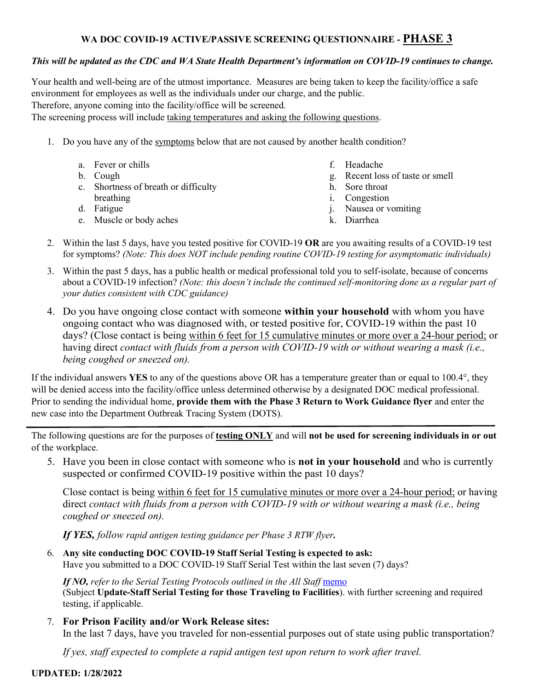### **WA DOC COVID-19 ACTIVE/PASSIVE SCREENING QUESTIONNAIRE - PHASE 3**

### *This will be updated as the CDC and WA State Health Department's information on COVID-19 continues to change.*

Your health and well-being are of the utmost importance. Measures are being taken to keep the facility/office a safe environment for employees as well as the individuals under our charge, and the public. Therefore, anyone coming into the facility/office will be screened.

The screening process will include taking temperatures and asking the following questions.

1. Do you have any of th[e symptoms](https://www.cdc.gov/coronavirus/2019-ncov/symptoms-testing/symptoms.html) below that are not caused by another health condition?

| a. Fever or chills<br>b. Cough<br>c. Shortness of breath or difficulty<br>breathing<br>d. Fatigue | f. Headache<br>g. Recent loss of taste or smell<br>h. Sore throat<br><i>i.</i> Congestion<br>j. Nausea or vomiting |
|---------------------------------------------------------------------------------------------------|--------------------------------------------------------------------------------------------------------------------|
| e. Muscle or body aches                                                                           | k. Diarrhea                                                                                                        |
|                                                                                                   |                                                                                                                    |

- 2. Within the last 5 days, have you tested positive for COVID-19 **OR** are you awaiting results of a COVID-19 test for symptoms? *(Note: This does NOT include pending routine COVID-19 testing for asymptomatic individuals)*
- 3. Within the past 5 days, has a public health or medical professional told you to self-isolate, because of concerns about a COVID-19 infection? *(Note: this doesn't include the continued self-monitoring done as a regular part of your duties consistent with CDC guidance)*
- 4. Do you have ongoing close contact with someone **within your household** with whom you have ongoing contact who was diagnosed with, or tested positive for, COVID-19 within the past 10 days? (Close contact is being within 6 feet for 15 cumulative minutes or more over a 24-hour period; or having direct *contact with fluids from a person with COVID-19 with or without wearing a mask (i.e., being coughed or sneezed on).*

If the individual answers **YES** to any of the questions above OR has a temperature greater than or equal to 100.4°, they will be denied access into the facility/office unless determined otherwise by a designated DOC medical professional. Prior to sending the individual home, **provide them with the Phase 3 Return to Work Guidance flyer** and enter the new case into the Department Outbreak Tracing System (DOTS).

The following questions are for the purposes of **testing ONLY** and will **not be used for screening individuals in or out** of the workplace.

5. Have you been in close contact with someone who is **not in your household** and who is currently suspected or confirmed COVID-19 positive within the past 10 days?

Close contact is being within 6 feet for 15 cumulative minutes or more over a 24-hour period; or having direct *contact with fluids from a person with COVID-19 with or without wearing a mask (i.e., being coughed or sneezed on).* 

*If YES, follow rapid antigen testing guidance per Phase 3 RTW flyer.*

6. **Any site conducting DOC COVID-19 Staff Serial Testing is expected to ask:**  Have you submitted to a DOC COVID-19 Staff Serial Test within the last seven (7) days?

*If NO, refer to the Serial Testing Protocols outlined in the All Staff* [memo](https://www.doc.wa.gov/corrections/covid-19/docs/2021-0428-all-staff-memo-update-staff-serial-testing-for-those-traveling-to-facilities.pdf)  (Subject **Update-Staff Serial Testing for those Traveling to Facilities**). with further screening and required testing, if applicable.

7. **For Prison Facility and/or Work Release sites:** 

In the last 7 days, have you traveled for non-essential purposes out of state using public transportation?

*If yes, staff expected to complete a rapid antigen test upon return to work after travel.*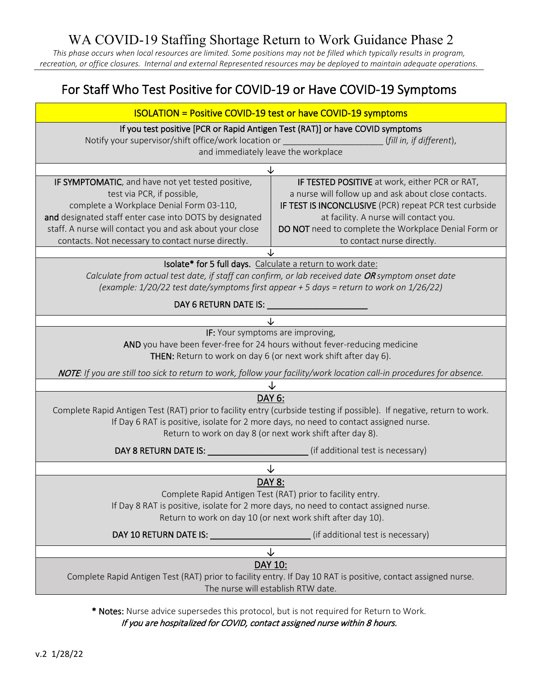WA COVID-19 Staffing Shortage Return to Work Guidance Phase 2

*This phase occurs when local resources are limited. Some positions may not be filled which typically results in program, recreation, or office closures. Internal and external Represented resources may be deployed to maintain adequate operations.*

# For Staff Who Test Positive for COVID-19 or Have COVID-19 Symptoms

| <b>ISOLATION = Positive COVID-19 test or have COVID-19 symptoms</b>                                                                                                                                                                                                                                      |                                                                                                                                                                                                                                                                                                  |  |  |
|----------------------------------------------------------------------------------------------------------------------------------------------------------------------------------------------------------------------------------------------------------------------------------------------------------|--------------------------------------------------------------------------------------------------------------------------------------------------------------------------------------------------------------------------------------------------------------------------------------------------|--|--|
| If you test positive [PCR or Rapid Antigen Test (RAT)] or have COVID symptoms<br>Notify your supervisor/shift office/work location or<br>(fill in, if different),<br>and immediately leave the workplace                                                                                                 |                                                                                                                                                                                                                                                                                                  |  |  |
|                                                                                                                                                                                                                                                                                                          |                                                                                                                                                                                                                                                                                                  |  |  |
| IF SYMPTOMATIC, and have not yet tested positive,<br>test via PCR, if possible,<br>complete a Workplace Denial Form 03-110,<br>and designated staff enter case into DOTS by designated<br>staff. A nurse will contact you and ask about your close<br>contacts. Not necessary to contact nurse directly. | IF TESTED POSITIVE at work, either PCR or RAT,<br>a nurse will follow up and ask about close contacts.<br>IF TEST IS INCONCLUSIVE (PCR) repeat PCR test curbside<br>at facility. A nurse will contact you.<br>DO NOT need to complete the Workplace Denial Form or<br>to contact nurse directly. |  |  |
|                                                                                                                                                                                                                                                                                                          |                                                                                                                                                                                                                                                                                                  |  |  |
| Isolate* for 5 full days. Calculate a return to work date:<br>Calculate from actual test date, if staff can confirm, or lab received date OR symptom onset date<br>(example: 1/20/22 test date/symptoms first appear + 5 days = return to work on 1/26/22)                                               |                                                                                                                                                                                                                                                                                                  |  |  |
|                                                                                                                                                                                                                                                                                                          |                                                                                                                                                                                                                                                                                                  |  |  |
| IF: Your symptoms are improving,<br>AND you have been fever-free for 24 hours without fever-reducing medicine<br>THEN: Return to work on day 6 (or next work shift after day 6).                                                                                                                         |                                                                                                                                                                                                                                                                                                  |  |  |
|                                                                                                                                                                                                                                                                                                          | NOTE: If you are still too sick to return to work, follow your facility/work location call-in procedures for absence.                                                                                                                                                                            |  |  |
|                                                                                                                                                                                                                                                                                                          |                                                                                                                                                                                                                                                                                                  |  |  |
| DAY 6:<br>Complete Rapid Antigen Test (RAT) prior to facility entry (curbside testing if possible). If negative, return to work.<br>If Day 6 RAT is positive, isolate for 2 more days, no need to contact assigned nurse.<br>Return to work on day 8 (or next work shift after day 8).                   |                                                                                                                                                                                                                                                                                                  |  |  |
|                                                                                                                                                                                                                                                                                                          |                                                                                                                                                                                                                                                                                                  |  |  |
|                                                                                                                                                                                                                                                                                                          | ↓                                                                                                                                                                                                                                                                                                |  |  |
| <b>DAY 8:</b><br>Complete Rapid Antigen Test (RAT) prior to facility entry.<br>If Day 8 RAT is positive, isolate for 2 more days, no need to contact assigned nurse.<br>Return to work on day 10 (or next work shift after day 10).                                                                      |                                                                                                                                                                                                                                                                                                  |  |  |
|                                                                                                                                                                                                                                                                                                          | (if additional test is necessary)                                                                                                                                                                                                                                                                |  |  |
|                                                                                                                                                                                                                                                                                                          | ↓                                                                                                                                                                                                                                                                                                |  |  |
| DAY 10:<br>Complete Rapid Antigen Test (RAT) prior to facility entry. If Day 10 RAT is positive, contact assigned nurse.<br>The nurse will establish RTW date.                                                                                                                                           |                                                                                                                                                                                                                                                                                                  |  |  |

\* Notes: Nurse advice supersedes this protocol, but is not required for Return to Work. If you are hospitalized for COVID, contact assigned nurse within 8 hours.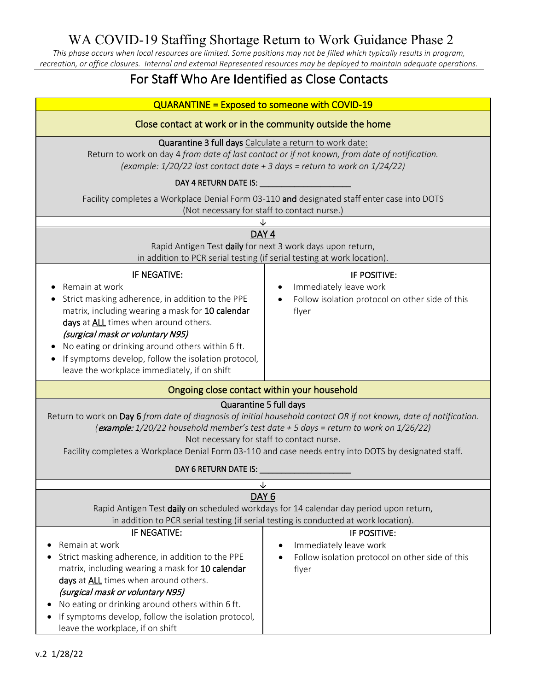*This phase occurs when local resources are limited. Some positions may not be filled which typically results in program, recreation, or office closures. Internal and external Represented resources may be deployed to maintain adequate operations.*

# For Staff Who Are Identified as Close Contacts

| <b>QUARANTINE = Exposed to someone with COVID-19</b>                                                                                                                                                                                                                                                                                                                                       |                                                                                                    |  |  |  |
|--------------------------------------------------------------------------------------------------------------------------------------------------------------------------------------------------------------------------------------------------------------------------------------------------------------------------------------------------------------------------------------------|----------------------------------------------------------------------------------------------------|--|--|--|
| Close contact at work or in the community outside the home                                                                                                                                                                                                                                                                                                                                 |                                                                                                    |  |  |  |
| Quarantine 3 full days Calculate a return to work date:<br>Return to work on day 4 from date of last contact or if not known, from date of notification.<br>(example: $1/20/22$ last contact date + 3 days = return to work on $1/24/22$ )                                                                                                                                                 |                                                                                                    |  |  |  |
|                                                                                                                                                                                                                                                                                                                                                                                            |                                                                                                    |  |  |  |
| Facility completes a Workplace Denial Form 03-110 and designated staff enter case into DOTS<br>(Not necessary for staff to contact nurse.)                                                                                                                                                                                                                                                 |                                                                                                    |  |  |  |
|                                                                                                                                                                                                                                                                                                                                                                                            |                                                                                                    |  |  |  |
| DAY <sub>4</sub><br>Rapid Antigen Test daily for next 3 work days upon return,<br>in addition to PCR serial testing (if serial testing at work location).                                                                                                                                                                                                                                  |                                                                                                    |  |  |  |
| IF NEGATIVE:<br>Remain at work<br>Strict masking adherence, in addition to the PPE<br>matrix, including wearing a mask for 10 calendar<br>days at ALL times when around others.<br>(surgical mask or voluntary N95)<br>No eating or drinking around others within 6 ft.<br>If symptoms develop, follow the isolation protocol,<br>leave the workplace immediately, if on shift             | IF POSITIVE:<br>Immediately leave work<br>Follow isolation protocol on other side of this<br>flyer |  |  |  |
| Ongoing close contact within your household                                                                                                                                                                                                                                                                                                                                                |                                                                                                    |  |  |  |
| Quarantine 5 full days<br>Return to work on Day 6 from date of diagnosis of initial household contact OR if not known, date of notification.<br>(example: 1/20/22 household member's test date + 5 days = return to work on 1/26/22)<br>Not necessary for staff to contact nurse.<br>Facility completes a Workplace Denial Form 03-110 and case needs entry into DOTS by designated staff. |                                                                                                    |  |  |  |
| DAY 6 RETURN DATE IS:                                                                                                                                                                                                                                                                                                                                                                      |                                                                                                    |  |  |  |
| DAY <sub>6</sub><br>Rapid Antigen Test daily on scheduled workdays for 14 calendar day period upon return,<br>in addition to PCR serial testing (if serial testing is conducted at work location).                                                                                                                                                                                         |                                                                                                    |  |  |  |
| IF NEGATIVE:<br>Remain at work<br>Strict masking adherence, in addition to the PPE<br>matrix, including wearing a mask for 10 calendar<br>days at ALL times when around others.<br>(surgical mask or voluntary N95)<br>No eating or drinking around others within 6 ft.<br>If symptoms develop, follow the isolation protocol,<br>leave the workplace, if on shift                         | IF POSITIVE:<br>Immediately leave work<br>Follow isolation protocol on other side of this<br>flyer |  |  |  |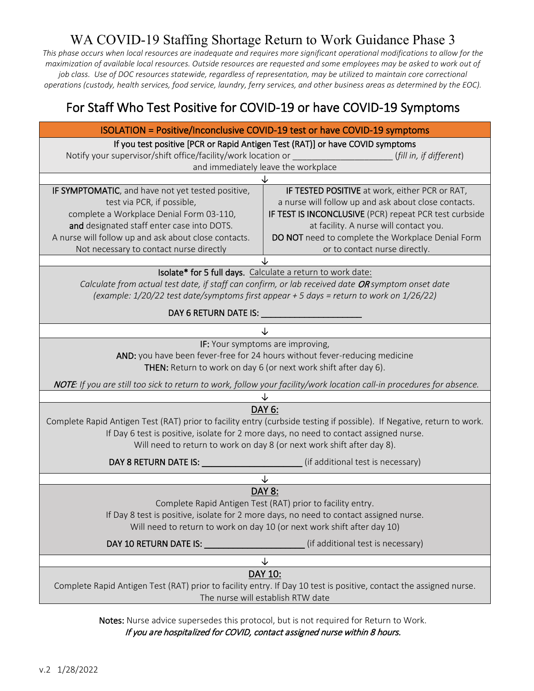# WA COVID-19 Staffing Shortage Return to Work Guidance Phase 3

*This phase occurs when local resources are inadequate and requires more significant operational modifications to allow for the maximization of available local resources. Outside resources are requested and some employees may be asked to work out of job class. Use of DOC resources statewide, regardless of representation, may be utilized to maintain core correctional operations (custody, health services, food service, laundry, ferry services, and other business areas as determined by the EOC).*

# For Staff Who Test Positive for COVID-19 or have COVID-19 Symptoms

| ISOLATION = Positive/Inconclusive COVID-19 test or have COVID-19 symptoms                                                                                                                                                                                                                            |                                                                                                                                                                                                                                                                                                  |  |  |  |
|------------------------------------------------------------------------------------------------------------------------------------------------------------------------------------------------------------------------------------------------------------------------------------------------------|--------------------------------------------------------------------------------------------------------------------------------------------------------------------------------------------------------------------------------------------------------------------------------------------------|--|--|--|
| If you test positive [PCR or Rapid Antigen Test (RAT)] or have COVID symptoms<br>and immediately leave the workplace                                                                                                                                                                                 |                                                                                                                                                                                                                                                                                                  |  |  |  |
|                                                                                                                                                                                                                                                                                                      |                                                                                                                                                                                                                                                                                                  |  |  |  |
| IF SYMPTOMATIC, and have not yet tested positive,<br>test via PCR, if possible,<br>complete a Workplace Denial Form 03-110,<br>and designated staff enter case into DOTS.<br>A nurse will follow up and ask about close contacts.<br>Not necessary to contact nurse directly                         | IF TESTED POSITIVE at work, either PCR or RAT,<br>a nurse will follow up and ask about close contacts.<br>IF TEST IS INCONCLUSIVE (PCR) repeat PCR test curbside<br>at facility. A nurse will contact you.<br>DO NOT need to complete the Workplace Denial Form<br>or to contact nurse directly. |  |  |  |
|                                                                                                                                                                                                                                                                                                      |                                                                                                                                                                                                                                                                                                  |  |  |  |
| Isolate* for 5 full days. Calculate a return to work date:<br>Calculate from actual test date, if staff can confirm, or lab received date OR symptom onset date<br>(example: $1/20/22$ test date/symptoms first appear + 5 days = return to work on $1/26/22$ )                                      |                                                                                                                                                                                                                                                                                                  |  |  |  |
|                                                                                                                                                                                                                                                                                                      |                                                                                                                                                                                                                                                                                                  |  |  |  |
|                                                                                                                                                                                                                                                                                                      | ↓                                                                                                                                                                                                                                                                                                |  |  |  |
| IF: Your symptoms are improving,<br>AND: you have been fever-free for 24 hours without fever-reducing medicine<br>THEN: Return to work on day 6 (or next work shift after day 6).                                                                                                                    |                                                                                                                                                                                                                                                                                                  |  |  |  |
|                                                                                                                                                                                                                                                                                                      | NOTE: If you are still too sick to return to work, follow your facility/work location call-in procedures for absence.                                                                                                                                                                            |  |  |  |
|                                                                                                                                                                                                                                                                                                      |                                                                                                                                                                                                                                                                                                  |  |  |  |
| DAY 6:<br>Complete Rapid Antigen Test (RAT) prior to facility entry (curbside testing if possible). If Negative, return to work.<br>If Day 6 test is positive, isolate for 2 more days, no need to contact assigned nurse.<br>Will need to return to work on day 8 (or next work shift after day 8). |                                                                                                                                                                                                                                                                                                  |  |  |  |
|                                                                                                                                                                                                                                                                                                      |                                                                                                                                                                                                                                                                                                  |  |  |  |
|                                                                                                                                                                                                                                                                                                      | ↓                                                                                                                                                                                                                                                                                                |  |  |  |
| <b>DAY 8:</b><br>Complete Rapid Antigen Test (RAT) prior to facility entry.<br>If Day 8 test is positive, isolate for 2 more days, no need to contact assigned nurse.<br>Will need to return to work on day 10 (or next work shift after day 10)                                                     |                                                                                                                                                                                                                                                                                                  |  |  |  |
| DAY 10 RETURN DATE IS: ____                                                                                                                                                                                                                                                                          | (if additional test is necessary)                                                                                                                                                                                                                                                                |  |  |  |
| ↓                                                                                                                                                                                                                                                                                                    |                                                                                                                                                                                                                                                                                                  |  |  |  |
| DAY 10:<br>Complete Rapid Antigen Test (RAT) prior to facility entry. If Day 10 test is positive, contact the assigned nurse.<br>The nurse will establish RTW date                                                                                                                                   |                                                                                                                                                                                                                                                                                                  |  |  |  |

Notes: Nurse advice supersedes this protocol, but is not required for Return to Work. If you are hospitalized for COVID, contact assigned nurse within 8 hours.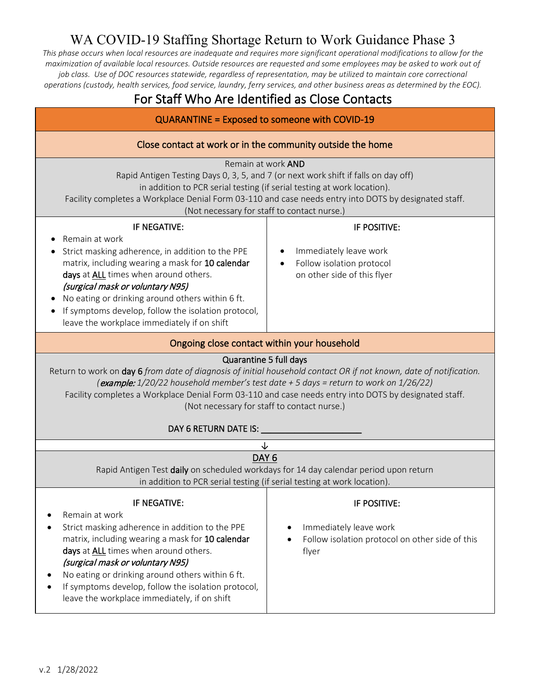# WA COVID-19 Staffing Shortage Return to Work Guidance Phase 3

*This phase occurs when local resources are inadequate and requires more significant operational modifications to allow for the maximization of available local resources. Outside resources are requested and some employees may be asked to work out of job class. Use of DOC resources statewide, regardless of representation, may be utilized to maintain core correctional operations (custody, health services, food service, laundry, ferry services, and other business areas as determined by the EOC).*

## For Staff Who Are Identified as Close Contacts

| <b>QUARANTINE = Exposed to someone with COVID-19</b>                                                                                                                                                                                                                                                                                                                                                                     |                                                                                                    |  |  |  |
|--------------------------------------------------------------------------------------------------------------------------------------------------------------------------------------------------------------------------------------------------------------------------------------------------------------------------------------------------------------------------------------------------------------------------|----------------------------------------------------------------------------------------------------|--|--|--|
| Close contact at work or in the community outside the home                                                                                                                                                                                                                                                                                                                                                               |                                                                                                    |  |  |  |
| Remain at work AND<br>Rapid Antigen Testing Days 0, 3, 5, and 7 (or next work shift if falls on day off)<br>in addition to PCR serial testing (if serial testing at work location).<br>Facility completes a Workplace Denial Form 03-110 and case needs entry into DOTS by designated staff.<br>(Not necessary for staff to contact nurse.)                                                                              |                                                                                                    |  |  |  |
| IF NEGATIVE:<br>Remain at work<br>Strict masking adherence, in addition to the PPE<br>matrix, including wearing a mask for 10 calendar<br>days at ALL times when around others.<br>(surgical mask or voluntary N95)<br>No eating or drinking around others within 6 ft.<br>If symptoms develop, follow the isolation protocol,<br>leave the workplace immediately if on shift                                            | IF POSITIVE:<br>Immediately leave work<br>Follow isolation protocol<br>on other side of this flyer |  |  |  |
| Ongoing close contact within your household                                                                                                                                                                                                                                                                                                                                                                              |                                                                                                    |  |  |  |
| Quarantine 5 full days<br>Return to work on day 6 from date of diagnosis of initial household contact OR if not known, date of notification.<br>(example: 1/20/22 household member's test date + 5 days = return to work on 1/26/22)<br>Facility completes a Workplace Denial Form 03-110 and case needs entry into DOTS by designated staff.<br>(Not necessary for staff to contact nurse.)<br>DAY 6 RETURN DATE IS: __ |                                                                                                    |  |  |  |
| ↓                                                                                                                                                                                                                                                                                                                                                                                                                        |                                                                                                    |  |  |  |
| DAY <sub>6</sub><br>Rapid Antigen Test daily on scheduled workdays for 14 day calendar period upon return<br>in addition to PCR serial testing (if serial testing at work location).                                                                                                                                                                                                                                     |                                                                                                    |  |  |  |
| IF NEGATIVE:<br>Remain at work<br>Strict masking adherence in addition to the PPE<br>matrix, including wearing a mask for 10 calendar<br>days at ALL times when around others.<br>(surgical mask or voluntary N95)<br>No eating or drinking around others within 6 ft.<br>If symptoms develop, follow the isolation protocol,<br>leave the workplace immediately, if on shift                                            | IF POSITIVE:<br>Immediately leave work<br>Follow isolation protocol on other side of this<br>flyer |  |  |  |